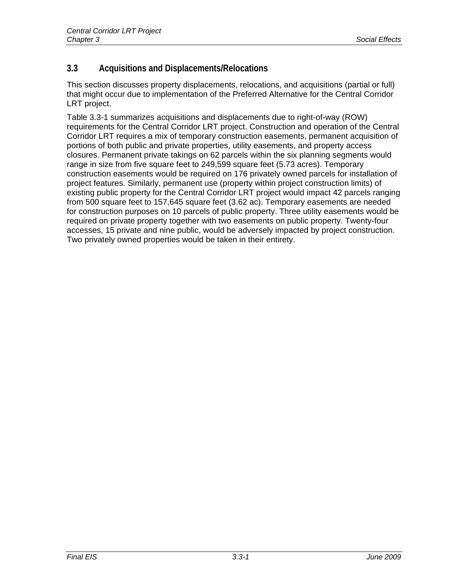# **3.3 Acquisitions and Displacements/Relocations**

This section discusses property displacements, relocations, and acquisitions (partial or full) that might occur due to implementation of the Preferred Alternative for the Central Corridor LRT project.

Table 3.3-1 summarizes acquisitions and displacements due to right-of-way (ROW) requirements for the Central Corridor LRT project. Construction and operation of the Central Corridor LRT requires a mix of temporary construction easements, permanent acquisition of portions of both public and private properties, utility easements, and property access closures. Permanent private takings on 62 parcels within the six planning segments would range in size from five square feet to 249,599 square feet (5.73 acres). Temporary construction easements would be required on 176 privately owned parcels for installation of project features. Similarly, permanent use (property within project construction limits) of existing public property for the Central Corridor LRT project would impact 42 parcels ranging from 500 square feet to 157,645 square feet (3.62 ac). Temporary easements are needed for construction purposes on 10 parcels of public property. Three utility easements would be required on private property together with two easements on public property. Twenty-four accesses, 15 private and nine public, would be adversely impacted by project construction. Two privately owned properties would be taken in their entirety.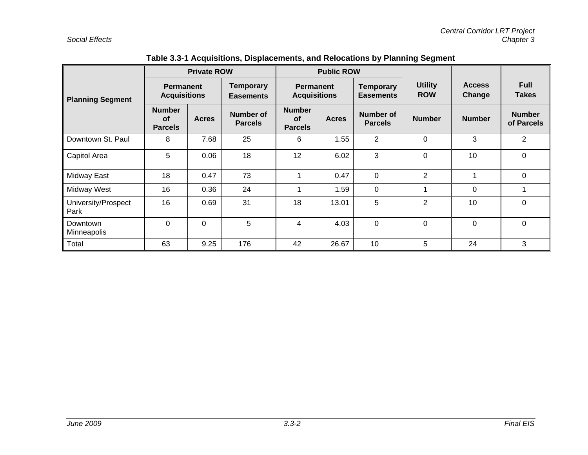| $1.34$ and $1.31$ and $1.34$ and $1.34$ and $1.34$<br>.<br>ייישטייפי |                                              |                    |                                      |                                                                                                    |                   |                                      |                              |                             |                             |
|----------------------------------------------------------------------|----------------------------------------------|--------------------|--------------------------------------|----------------------------------------------------------------------------------------------------|-------------------|--------------------------------------|------------------------------|-----------------------------|-----------------------------|
|                                                                      |                                              | <b>Private ROW</b> |                                      |                                                                                                    | <b>Public ROW</b> |                                      |                              |                             |                             |
| <b>Planning Segment</b>                                              | <b>Permanent</b><br><b>Acquisitions</b>      |                    | <b>Temporary</b><br><b>Easements</b> | <b>Permanent</b><br><b>Acquisitions</b>                                                            |                   | <b>Temporary</b><br><b>Easements</b> | <b>Utility</b><br><b>ROW</b> | <b>Access</b><br>Change     | <b>Full</b><br><b>Takes</b> |
|                                                                      | <b>Number</b><br><b>of</b><br><b>Parcels</b> | <b>Acres</b>       | <b>Number of</b><br><b>Parcels</b>   | <b>Number</b><br><b>Number of</b><br><b>of</b><br><b>Acres</b><br><b>Parcels</b><br><b>Parcels</b> |                   | <b>Number</b>                        | <b>Number</b>                | <b>Number</b><br>of Parcels |                             |
| Downtown St. Paul                                                    | 8                                            | 7.68               | 25                                   | 6                                                                                                  | 1.55              | $\overline{2}$                       | $\mathbf 0$                  | 3                           | $\overline{2}$              |
| Capitol Area                                                         | 5                                            | 0.06               | 18                                   | 12                                                                                                 | 6.02              | 3                                    | $\mathbf 0$                  | 10                          | $\mathbf 0$                 |
| Midway East                                                          | 18                                           | 0.47               | 73                                   | 1                                                                                                  | 0.47              | 0                                    | $\overline{2}$               | 1                           | 0                           |
| Midway West                                                          | 16                                           | 0.36               | 24                                   | 1                                                                                                  | 1.59              | 0                                    |                              | $\Omega$                    |                             |
| University/Prospect<br>Park                                          | 16                                           | 0.69               | 31                                   | 18                                                                                                 | 13.01             | 5                                    | $\overline{2}$               | 10                          | $\Omega$                    |
| Downtown<br>Minneapolis                                              | 0                                            | $\mathbf{0}$       | 5                                    | 4                                                                                                  | 4.03              | $\mathbf 0$                          | $\Omega$                     | $\mathbf 0$                 | $\Omega$                    |
| Total                                                                | 63                                           | 9.25               | 176                                  | 42                                                                                                 | 26.67             | 10                                   | 5                            | 24                          | 3                           |

# **Table 3.3-1 Acquisitions, Displacements, and Relocations by Planning Segment**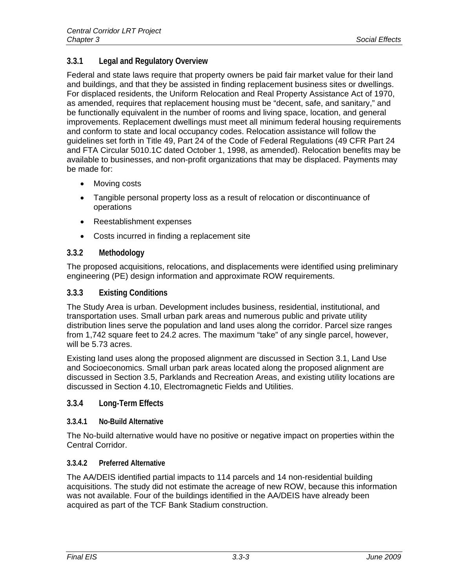# **3.3.1 Legal and Regulatory Overview**

Federal and state laws require that property owners be paid fair market value for their land and buildings, and that they be assisted in finding replacement business sites or dwellings. For displaced residents, the Uniform Relocation and Real Property Assistance Act of 1970, as amended, requires that replacement housing must be "decent, safe, and sanitary," and be functionally equivalent in the number of rooms and living space, location, and general improvements. Replacement dwellings must meet all minimum federal housing requirements and conform to state and local occupancy codes. Relocation assistance will follow the guidelines set forth in Title 49, Part 24 of the Code of Federal Regulations (49 CFR Part 24 and FTA Circular 5010.1C dated October 1, 1998, as amended). Relocation benefits may be available to businesses, and non-profit organizations that may be displaced. Payments may be made for:

- Moving costs
- Tangible personal property loss as a result of relocation or discontinuance of operations
- Reestablishment expenses
- Costs incurred in finding a replacement site

#### **3.3.2 Methodology**

The proposed acquisitions, relocations, and displacements were identified using preliminary engineering (PE) design information and approximate ROW requirements.

#### **3.3.3 Existing Conditions**

The Study Area is urban. Development includes business, residential, institutional, and transportation uses. Small urban park areas and numerous public and private utility distribution lines serve the population and land uses along the corridor. Parcel size ranges from 1,742 square feet to 24.2 acres. The maximum "take" of any single parcel, however, will be 5.73 acres.

Existing land uses along the proposed alignment are discussed in Section 3.1, Land Use and Socioeconomics. Small urban park areas located along the proposed alignment are discussed in Section 3.5, Parklands and Recreation Areas, and existing utility locations are discussed in Section 4.10, Electromagnetic Fields and Utilities.

#### **3.3.4 Long-Term Effects**

#### **3.3.4.1 No-Build Alternative**

The No-build alternative would have no positive or negative impact on properties within the Central Corridor.

#### **3.3.4.2 Preferred Alternative**

The AA/DEIS identified partial impacts to 114 parcels and 14 non-residential building acquisitions. The study did not estimate the acreage of new ROW, because this information was not available. Four of the buildings identified in the AA/DEIS have already been acquired as part of the TCF Bank Stadium construction.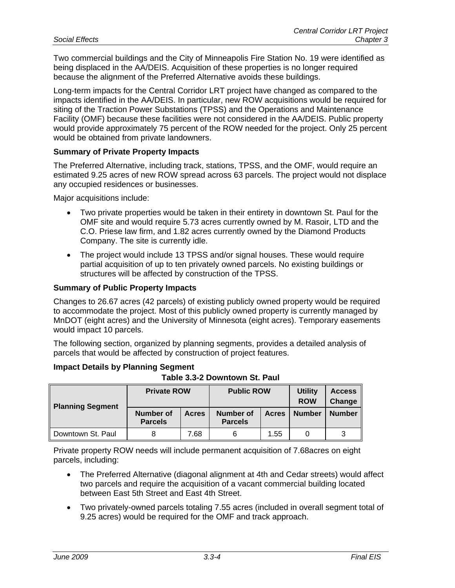Two commercial buildings and the City of Minneapolis Fire Station No. 19 were identified as being displaced in the AA/DEIS. Acquisition of these properties is no longer required because the alignment of the Preferred Alternative avoids these buildings.

Long-term impacts for the Central Corridor LRT project have changed as compared to the impacts identified in the AA/DEIS. In particular, new ROW acquisitions would be required for siting of the Traction Power Substations (TPSS) and the Operations and Maintenance Facility (OMF) because these facilities were not considered in the AA/DEIS. Public property would provide approximately 75 percent of the ROW needed for the project. Only 25 percent would be obtained from private landowners.

#### **Summary of Private Property Impacts**

The Preferred Alternative, including track, stations, TPSS, and the OMF, would require an estimated 9.25 acres of new ROW spread across 63 parcels. The project would not displace any occupied residences or businesses.

Major acquisitions include:

- Two private properties would be taken in their entirety in downtown St. Paul for the OMF site and would require 5.73 acres currently owned by M. Rasoir, LTD and the C.O. Priese law firm, and 1.82 acres currently owned by the Diamond Products Company. The site is currently idle.
- The project would include 13 TPSS and/or signal houses. These would require partial acquisition of up to ten privately owned parcels. No existing buildings or structures will be affected by construction of the TPSS.

#### **Summary of Public Property Impacts**

Changes to 26.67 acres (42 parcels) of existing publicly owned property would be required to accommodate the project. Most of this publicly owned property is currently managed by MnDOT (eight acres) and the University of Minnesota (eight acres). Temporary easements would impact 10 parcels.

The following section, organized by planning segments, provides a detailed analysis of parcels that would be affected by construction of project features.

| <b>Impact Details by Planning Segment</b> |                               |
|-------------------------------------------|-------------------------------|
|                                           | Table 3.3-2 Downtown St. Paul |

| Planning Segment  | <b>Private ROW</b>                 |              | <b>Public ROW</b>                  |              | <b>Utility</b><br><b>ROW</b> | <b>Access</b><br>Change |
|-------------------|------------------------------------|--------------|------------------------------------|--------------|------------------------------|-------------------------|
|                   | <b>Number of</b><br><b>Parcels</b> | <b>Acres</b> | <b>Number of</b><br><b>Parcels</b> | <b>Acres</b> | <b>Number</b>                | <b>Number</b>           |
| Downtown St. Paul |                                    | 7.68         |                                    | 1.55         |                              |                         |

Private property ROW needs will include permanent acquisition of 7.68acres on eight parcels, including:

- The Preferred Alternative (diagonal alignment at 4th and Cedar streets) would affect two parcels and require the acquisition of a vacant commercial building located between East 5th Street and East 4th Street.
- Two privately-owned parcels totaling 7.55 acres (included in overall segment total of 9.25 acres) would be required for the OMF and track approach.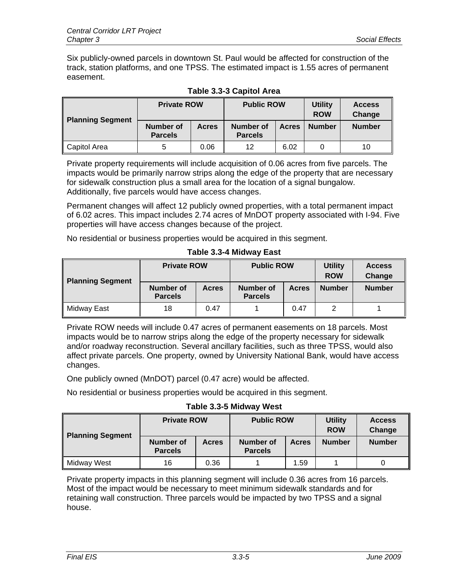Six publicly-owned parcels in downtown St. Paul would be affected for construction of the track, station platforms, and one TPSS. The estimated impact is 1.55 acres of permanent easement.

|                         | <b>Private ROW</b>          |              | <b>Public ROW</b>           |              | <b>Utility</b><br><b>ROW</b> | <b>Access</b><br>Change |
|-------------------------|-----------------------------|--------------|-----------------------------|--------------|------------------------------|-------------------------|
| <b>Planning Segment</b> | Number of<br><b>Parcels</b> | <b>Acres</b> | Number of<br><b>Parcels</b> | <b>Acres</b> | <b>Number</b>                | <b>Number</b>           |
| Capitol Area            | 5                           | 0.06         | 12                          | 6.02         |                              | 10                      |

#### **Table 3.3-3 Capitol Area**

Private property requirements will include acquisition of 0.06 acres from five parcels. The impacts would be primarily narrow strips along the edge of the property that are necessary for sidewalk construction plus a small area for the location of a signal bungalow. Additionally, five parcels would have access changes.

Permanent changes will affect 12 publicly owned properties, with a total permanent impact of 6.02 acres. This impact includes 2.74 acres of MnDOT property associated with I-94. Five properties will have access changes because of the project.

No residential or business properties would be acquired in this segment.

| <b>Planning Segment</b> | <b>Private ROW</b>                 |              | <b>Public ROW</b>                  |              | <b>Utility</b><br><b>ROW</b> | <b>Access</b><br>Change |
|-------------------------|------------------------------------|--------------|------------------------------------|--------------|------------------------------|-------------------------|
|                         | <b>Number of</b><br><b>Parcels</b> | <b>Acres</b> | <b>Number of</b><br><b>Parcels</b> | <b>Acres</b> | <b>Number</b>                | <b>Number</b>           |
| Midway East             | 18                                 | 0.47         |                                    | 0.47         |                              |                         |

**Table 3.3-4 Midway East** 

Private ROW needs will include 0.47 acres of permanent easements on 18 parcels. Most impacts would be to narrow strips along the edge of the property necessary for sidewalk and/or roadway reconstruction. Several ancillary facilities, such as three TPSS, would also affect private parcels. One property, owned by University National Bank, would have access changes.

One publicly owned (MnDOT) parcel (0.47 acre) would be affected.

No residential or business properties would be acquired in this segment.

### **Table 3.3-5 Midway West**

| Planning Segment | <b>Private ROW</b>          |              | <b>Public ROW</b>           |              | <b>Utility</b><br><b>ROW</b> | <b>Access</b><br>Change |
|------------------|-----------------------------|--------------|-----------------------------|--------------|------------------------------|-------------------------|
|                  | Number of<br><b>Parcels</b> | <b>Acres</b> | Number of<br><b>Parcels</b> | <b>Acres</b> | <b>Number</b>                | <b>Number</b>           |
| Midway West      | 16                          | 0.36         |                             | 1.59         |                              |                         |

Private property impacts in this planning segment will include 0.36 acres from 16 parcels. Most of the impact would be necessary to meet minimum sidewalk standards and for retaining wall construction. Three parcels would be impacted by two TPSS and a signal house.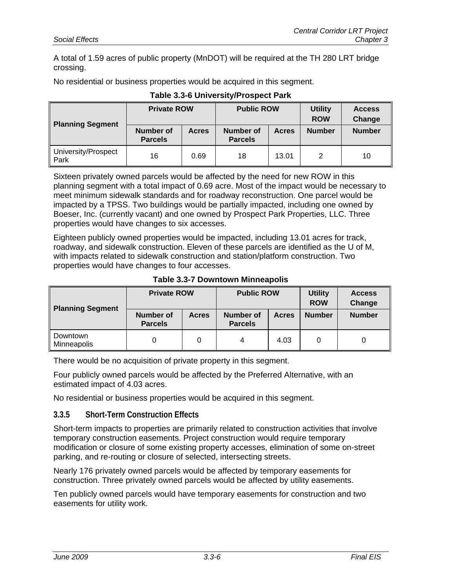A total of 1.59 acres of public property (MnDOT) will be required at the TH 280 LRT bridge crossing.

No residential or business properties would be acquired in this segment.

|                               | <b>Private ROW</b>                 |              | <b>Public ROW</b>           |              | <b>Utility</b><br><b>ROW</b> | <b>Access</b><br>Change |
|-------------------------------|------------------------------------|--------------|-----------------------------|--------------|------------------------------|-------------------------|
| <b>Planning Segment</b>       | <b>Number of</b><br><b>Parcels</b> | <b>Acres</b> | Number of<br><b>Parcels</b> | <b>Acres</b> | <b>Number</b>                | <b>Number</b>           |
| University/Prospect<br>∥ Park | 16                                 | 0.69         | 18                          | 13.01        | 2                            | 10                      |

#### **Table 3.3-6 University/Prospect Park**

Sixteen privately owned parcels would be affected by the need for new ROW in this planning segment with a total impact of 0.69 acre. Most of the impact would be necessary to meet minimum sidewalk standards and for roadway reconstruction. One parcel would be impacted by a TPSS. Two buildings would be partially impacted, including one owned by Boeser, Inc. (currently vacant) and one owned by Prospect Park Properties, LLC. Three properties would have changes to six accesses.

Eighteen publicly owned properties would be impacted, including 13.01 acres for track, roadway, and sidewalk construction. Eleven of these parcels are identified as the U of M, with impacts related to sidewalk construction and station/platform construction. Two properties would have changes to four accesses.

| <b>Planning Segment</b> | <b>Private ROW</b>                 |              | <b>Public ROW</b>                           |      | <b>Utility</b><br><b>ROW</b> | <b>Access</b><br>Change |
|-------------------------|------------------------------------|--------------|---------------------------------------------|------|------------------------------|-------------------------|
|                         | <b>Number of</b><br><b>Parcels</b> | <b>Acres</b> | Number of<br><b>Acres</b><br><b>Parcels</b> |      | <b>Number</b>                | <b>Number</b>           |
| Downtown<br>Minneapolis |                                    |              | 4                                           | 4.03 |                              |                         |

**Table 3.3-7 Downtown Minneapolis** 

There would be no acquisition of private property in this segment.

Four publicly owned parcels would be affected by the Preferred Alternative, with an estimated impact of 4.03 acres.

No residential or business properties would be acquired in this segment.

#### **3.3.5 Short-Term Construction Effects**

Short-term impacts to properties are primarily related to construction activities that involve temporary construction easements. Project construction would require temporary modification or closure of some existing property accesses, elimination of some on-street parking, and re-routing or closure of selected, intersecting streets.

Nearly 176 privately owned parcels would be affected by temporary easements for construction. Three privately owned parcels would be affected by utility easements.

Ten publicly owned parcels would have temporary easements for construction and two easements for utility work.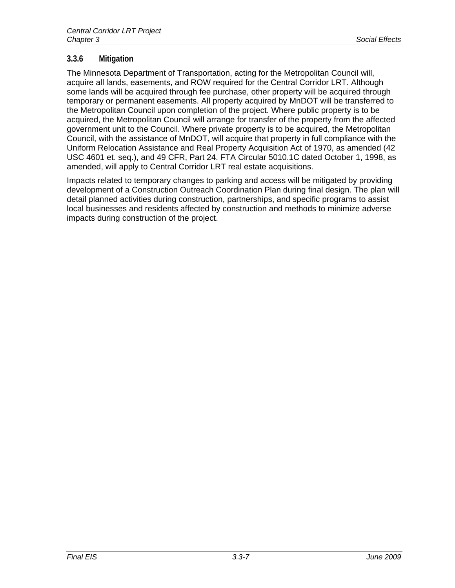### **3.3.6 Mitigation**

The Minnesota Department of Transportation, acting for the Metropolitan Council will, acquire all lands, easements, and ROW required for the Central Corridor LRT. Although some lands will be acquired through fee purchase, other property will be acquired through temporary or permanent easements. All property acquired by MnDOT will be transferred to the Metropolitan Council upon completion of the project. Where public property is to be acquired, the Metropolitan Council will arrange for transfer of the property from the affected government unit to the Council. Where private property is to be acquired, the Metropolitan Council, with the assistance of MnDOT, will acquire that property in full compliance with the Uniform Relocation Assistance and Real Property Acquisition Act of 1970, as amended (42 USC 4601 et. seq.), and 49 CFR, Part 24. FTA Circular 5010.1C dated October 1, 1998, as amended, will apply to Central Corridor LRT real estate acquisitions.

Impacts related to temporary changes to parking and access will be mitigated by providing development of a Construction Outreach Coordination Plan during final design. The plan will detail planned activities during construction, partnerships, and specific programs to assist local businesses and residents affected by construction and methods to minimize adverse impacts during construction of the project.